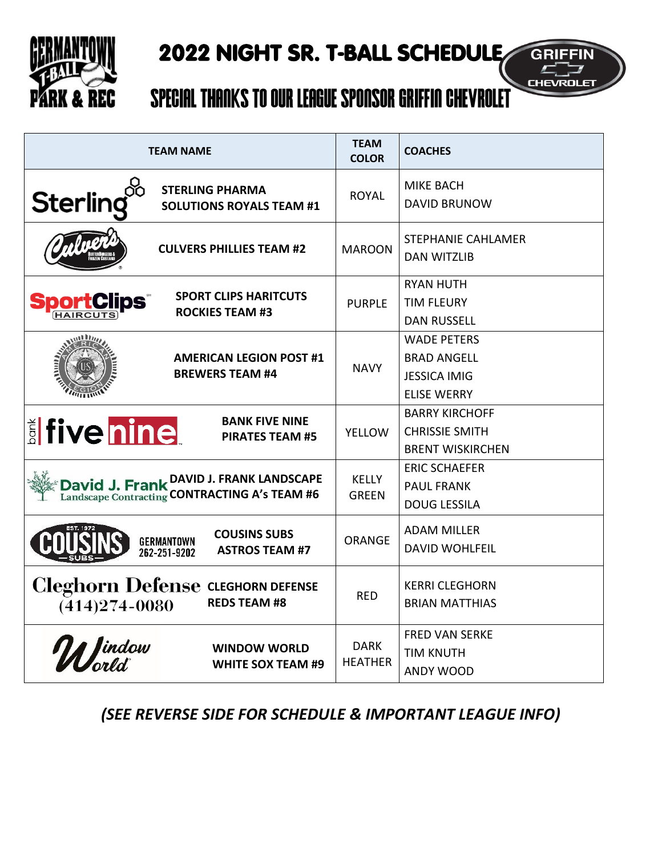

## 2022 NIGHT SR. T-BALL SCHEDULE

**GRIFFIN** 

## Special Thanks to our League Sponsor Griffin Chevrolet

| <b>TEAM NAME</b>                                                                               | <b>TEAM</b><br><b>COLOR</b>   | <b>COACHES</b>                                                                        |  |
|------------------------------------------------------------------------------------------------|-------------------------------|---------------------------------------------------------------------------------------|--|
| Sterling $\overset{\circ}{\cong}$<br><b>STERLING PHARMA</b><br><b>SOLUTIONS ROYALS TEAM #1</b> | <b>ROYAL</b>                  | <b>MIKE BACH</b><br><b>DAVID BRUNOW</b>                                               |  |
| <b>CULVERS PHILLIES TEAM #2</b>                                                                | <b>MAROON</b>                 | <b>STEPHANIE CAHLAMER</b><br><b>DAN WITZLIB</b>                                       |  |
| <b>SPORT CLIPS HARITCUTS</b><br><b>SportClips</b><br><b>ROCKIES TEAM #3</b>                    | <b>PURPLE</b>                 | <b>RYAN HUTH</b><br><b>TIM FLEURY</b><br><b>DAN RUSSELL</b>                           |  |
| <b>AMERICAN LEGION POST #1</b><br><b>BREWERS TEAM #4</b>                                       | <b>NAVY</b>                   | <b>WADE PETERS</b><br><b>BRAD ANGELL</b><br><b>JESSICA IMIG</b><br><b>ELISE WERRY</b> |  |
| <b>BANK FIVE NINE</b><br><b>E</b> five nine<br><b>PIRATES TEAM #5</b>                          | <b>YELLOW</b>                 | <b>BARRY KIRCHOFF</b><br><b>CHRISSIE SMITH</b><br><b>BRENT WISKIRCHEN</b>             |  |
| David J. Frank DAVID J. FRANK LANDSCAPE<br>Landscape Contracting CONTRACTING A's TEAM #6       | <b>KELLY</b><br><b>GREEN</b>  | <b>ERIC SCHAEFER</b><br><b>PAUL FRANK</b><br><b>DOUG LESSILA</b>                      |  |
| <b>COUSINS SUBS</b><br>GERMANTOWN<br>262-251-9202<br><b>ASTROS TEAM #7</b>                     | <b>ORANGE</b>                 | <b>ADAM MILLER</b><br><b>DAVID WOHLFEIL</b>                                           |  |
| Cleghorn Defense CLEGHORN DEFENSE<br><b>REDS TEAM #8</b><br>$(414)274 - 0080$                  | <b>RED</b>                    | <b>KERRI CLEGHORN</b><br><b>BRIAN MATTHIAS</b>                                        |  |
| World<br><b>WINDOW WORLD</b><br><b>WHITE SOX TEAM #9</b>                                       | <b>DARK</b><br><b>HEATHER</b> | <b>FRED VAN SERKE</b><br><b>TIM KNUTH</b><br>ANDY WOOD                                |  |

*(SEE REVERSE SIDE FOR SCHEDULE & IMPORTANT LEAGUE INFO)*